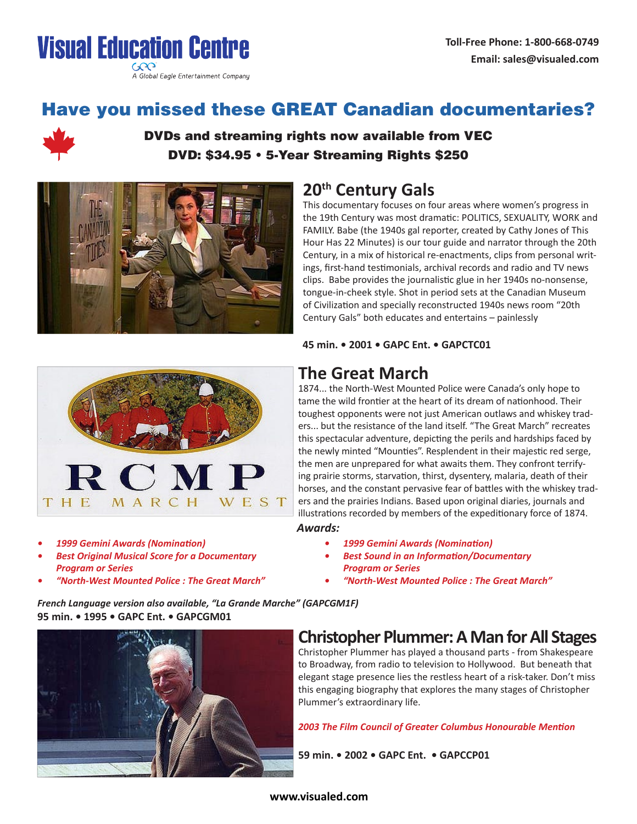



# Have you missed these GREAT Canadian documentaries?



### DVDs and streaming rights now available from VEC DVD: \$34.95 • 5-Year Streaming Rights \$250



## **20th Century Gals**

This documentary focuses on four areas where women's progress in the 19th Century was most dramatic: POLITICS, SEXUALITY, WORK and FAMILY. Babe (the 1940s gal reporter, created by Cathy Jones of This Hour Has 22 Minutes) is our tour guide and narrator through the 20th Century, in a mix of historical re-enactments, clips from personal writings, first-hand testimonials, archival records and radio and TV news clips. Babe provides the journalistic glue in her 1940s no-nonsense, tongue-in-cheek style. Shot in period sets at the Canadian Museum of Civilization and specially reconstructed 1940s news room "20th Century Gals" both educates and entertains – painlessly

**45 min. • 2001 • GAPC Ent. • GAPCTC01**



*• 1999 Gemini Awards (Nomination)*

*Program or Series*

*• Best Original Musical Score for a Documentary* 

*• "North-West Mounted Police : The Great March"*

## **The Great March**

1874... the North-West Mounted Police were Canada's only hope to tame the wild frontier at the heart of its dream of nationhood. Their toughest opponents were not just American outlaws and whiskey traders... but the resistance of the land itself. "The Great March" recreates this spectacular adventure, depicting the perils and hardships faced by the newly minted "Mounties". Resplendent in their majestic red serge, the men are unprepared for what awaits them. They confront terrifying prairie storms, starvation, thirst, dysentery, malaria, death of their horses, and the constant pervasive fear of battles with the whiskey traders and the prairies Indians. Based upon original diaries, journals and illustrations recorded by members of the expeditionary force of 1874.

#### *Awards:*

- *• 1999 Gemini Awards (Nomination)*
- *• Best Sound in an Information/Documentary Program or Series*
- *• "North-West Mounted Police : The Great March"*

*French Language version also available, "La Grande Marche" (GAPCGM1F)* **95 min. • 1995 • GAPC Ent. • GAPCGM01**

## **Christopher Plummer:AMan forAll Stages** Christopher Plummer has played a thousand parts - from Shakespeare to Broadway, from radio to television to Hollywood. But beneath that

elegant stage presence lies the restless heart of a risk-taker. Don't miss this engaging biography that explores the many stages of Christopher Plummer's extraordinary life.

*2003 The Film Council of Greater Columbus Honourable Mention*

**59 min. • 2002 • GAPC Ent. • GAPCCP01**



#### **www.visualed.com**